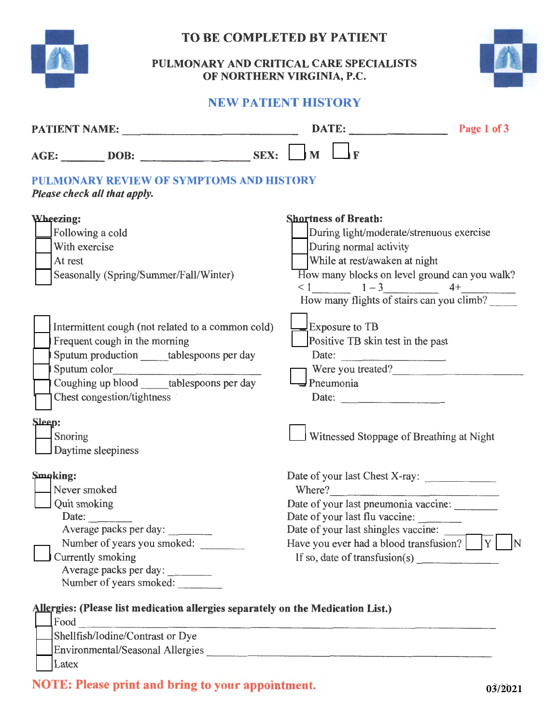

## **TO BE COMPLETED BY PATIENT**

## **PULMONARY AND CRITICAL CARE SPECIALISTS OF NORTHERN VIRGINIA, P.C.**



## **NEW PATIENT HISTORY**

| PATIENT NAME:                                                                                                                                                                                                  | DATE:<br>Page 1 of 3                                                                                                                                                                                                                                                                                                                                                                                                                                                                                                                                                        |
|----------------------------------------------------------------------------------------------------------------------------------------------------------------------------------------------------------------|-----------------------------------------------------------------------------------------------------------------------------------------------------------------------------------------------------------------------------------------------------------------------------------------------------------------------------------------------------------------------------------------------------------------------------------------------------------------------------------------------------------------------------------------------------------------------------|
| AGE: DOB: SEX:                                                                                                                                                                                                 | $\mathbf{M}$                                                                                                                                                                                                                                                                                                                                                                                                                                                                                                                                                                |
| PULMONARY REVIEW OF SYMPTOMS AND HISTORY<br>Please check all that apply.                                                                                                                                       |                                                                                                                                                                                                                                                                                                                                                                                                                                                                                                                                                                             |
| Wheezing:<br>Following a cold<br>With exercise<br>At rest<br>Seasonally (Spring/Summer/Fall/Winter)                                                                                                            | <b>Shortness of Breath:</b><br>During light/moderate/strenuous exercise<br>During normal activity<br>While at rest/awaken at night<br>How many blocks on level ground can you walk?<br>$< 1$ $1 - 3$ $4 +$<br>How many flights of stairs can you climb?                                                                                                                                                                                                                                                                                                                     |
| Intermittent cough (not related to a common cold)<br>Frequent cough in the morning<br>Sputum production ______ tablespoons per day<br>Coughing up blood _____tablespoons per day<br>Chest congestion/tightness | <b>Exposure to TB</b><br>Positive TB skin test in the past<br>Date:<br>Were you treated?<br>Pneumonia<br>Date: $\qquad \qquad$                                                                                                                                                                                                                                                                                                                                                                                                                                              |
| Sleep:<br>Snoring<br>Daytime sleepiness                                                                                                                                                                        | Witnessed Stoppage of Breathing at Night                                                                                                                                                                                                                                                                                                                                                                                                                                                                                                                                    |
| Smoking:<br>Never smoked<br>Quit smoking<br>Date:<br>Average packs per day:<br>Number of years you smoked:<br>Currently smoking                                                                                | Where?<br>Date of your last pneumonia vaccine:<br>Date of your last flu vaccine:<br>Date of your last shingles vaccine:<br>Have you ever had a blood transfusion?<br>If so, date of transfusion(s) $\frac{1}{\sqrt{1-\frac{1}{\sqrt{1-\frac{1}{\sqrt{1-\frac{1}{\sqrt{1-\frac{1}{\sqrt{1-\frac{1}{\sqrt{1-\frac{1}{\sqrt{1-\frac{1}{\sqrt{1-\frac{1}{\sqrt{1-\frac{1}{\sqrt{1-\frac{1}{\sqrt{1-\frac{1}{\sqrt{1-\frac{1}{\sqrt{1-\frac{1}{\sqrt{1-\frac{1}{\sqrt{1-\frac{1}{\sqrt{1-\frac{1}{\sqrt{1-\frac{1}{\sqrt{1-\frac{1}{\sqrt{1-\frac{1}{\sqrt{1-\frac{1}{\sqrt{1-\$ |
| Allergies: (Please list medication allergies separately on the Medication List.)<br>Food<br>Shellfish/Iodine/Contrast or Dye                                                                                   |                                                                                                                                                                                                                                                                                                                                                                                                                                                                                                                                                                             |

|  | $\Box$ Shellfish/Iodine/Contrast or Dye |
|--|-----------------------------------------|
|  | <b>Environmental/Seasonal Allergies</b> |
|  | Latex                                   |

**NOTE: Please print and bring to your appointment.**  $03/2021$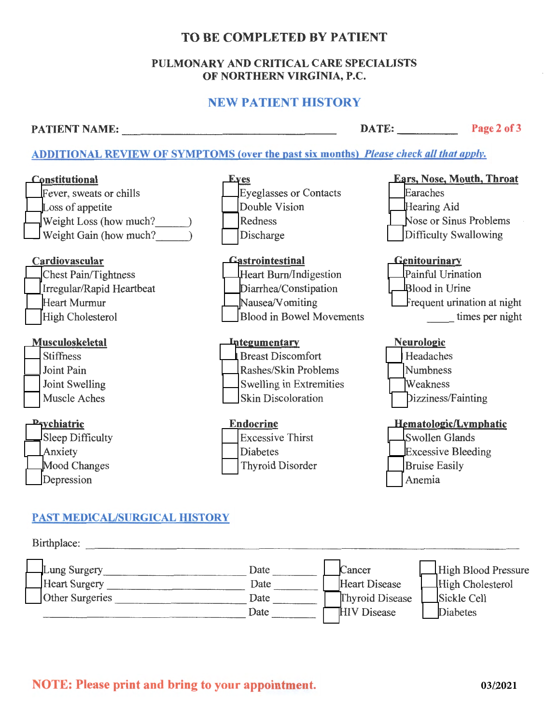## TO BE COMPLETED BY PATIENT

#### PULMONARY AND CRITICAL CARE SPECIALISTS OF NORTHERN VIRGINIA, P.C.

## NEW PATIENT HISTORY

PATIENT NAME: DATE: Page 2 of 3 ---------------- -----

## ADDITIONAL REVIEW OF SYMPTOMS {over the past six months} *Please check all that apply.*



## **PAST MEDICAL/SURGICAL HISTORY**



## **NOTE: Please print and bring to your appointment.**